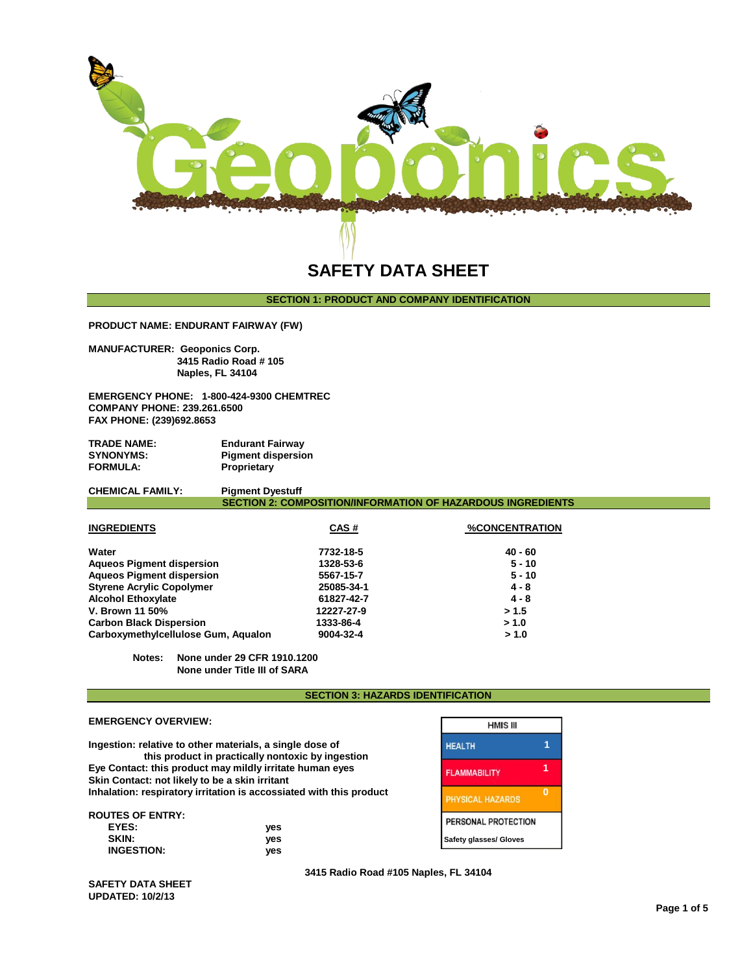

## **SECTION 1: PRODUCT AND COMPANY IDENTIFICATION**

**PRODUCT NAME: ENDURANT FAIRWAY (FW)**

**MANUFACTURER: Geoponics Corp. 3415 Radio Road # 105 Naples, FL 34104** 

**EMERGENCY PHONE: 1-800-424-9300 CHEMTREC COMPANY PHONE: 239.261.6500 FAX PHONE: (239)692.8653**

| <b>TRADE NAME:</b> | <b>Endurant Fairway</b>   |
|--------------------|---------------------------|
| <b>SYNONYMS:</b>   | <b>Pigment dispersion</b> |
| <b>FORMULA:</b>    | <b>Proprietary</b>        |

| <b>CHEMICAL FAMILY:</b> | <b>Pigment Dyestuff</b>                                            |                       |
|-------------------------|--------------------------------------------------------------------|-----------------------|
|                         | <b>SECTION 2: COMPOSITION/INFORMATION OF HAZARDOUS INGREDIENTS</b> |                       |
| <b>INGREDIENTS</b>      | CAS#                                                               | <b>%CONCENTRATION</b> |

| Water                               | 7732-18-5  | $40 - 60$ |
|-------------------------------------|------------|-----------|
| <b>Aqueos Pigment dispersion</b>    | 1328-53-6  | $5 - 10$  |
| <b>Aqueos Pigment dispersion</b>    | 5567-15-7  | $5 - 10$  |
| <b>Styrene Acrylic Copolymer</b>    | 25085-34-1 | $4 - 8$   |
| <b>Alcohol Ethoxylate</b>           | 61827-42-7 | $4 - 8$   |
| <b>V. Brown 11 50%</b>              | 12227-27-9 | > 1.5     |
| <b>Carbon Black Dispersion</b>      | 1333-86-4  | > 1.0     |
| Carboxymethylcellulose Gum, Aqualon | 9004-32-4  | > 1.0     |

**Notes: None under 29 CFR 1910.1200 None under Title III of SARA**

## **SECTION 3: HAZARDS IDENTIFICATION**

|                                                          |                                                                     | пійнэ ш                 |          |
|----------------------------------------------------------|---------------------------------------------------------------------|-------------------------|----------|
| Ingestion: relative to other materials, a single dose of | this product in practically nontoxic by ingestion                   | <b>HEALTH</b>           |          |
| Skin Contact: not likely to be a skin irritant           | Eye Contact: this product may mildly irritate human eyes            | <b>FLAMMABILITY</b>     |          |
|                                                          | Inhalation: respiratory irritation is accossiated with this product | <b>PHYSICAL HAZARDS</b> | $\Omega$ |
| <b>ROUTES OF ENTRY:</b>                                  |                                                                     | PERSONAL PROTECTION     |          |
| EYES:<br><b>SKIN:</b>                                    | ves<br>yes                                                          | Safety glasses/ Gloves  |          |
| <b>INGESTION:</b>                                        | ves                                                                 |                         |          |

Г **HMIS III CTION** 

**SAFETY DATA SHEET UPDATED: 10/2/13**

**EMERGENCY OVERVIEW:**

**3415 Radio Road #105 Naples, FL 34104**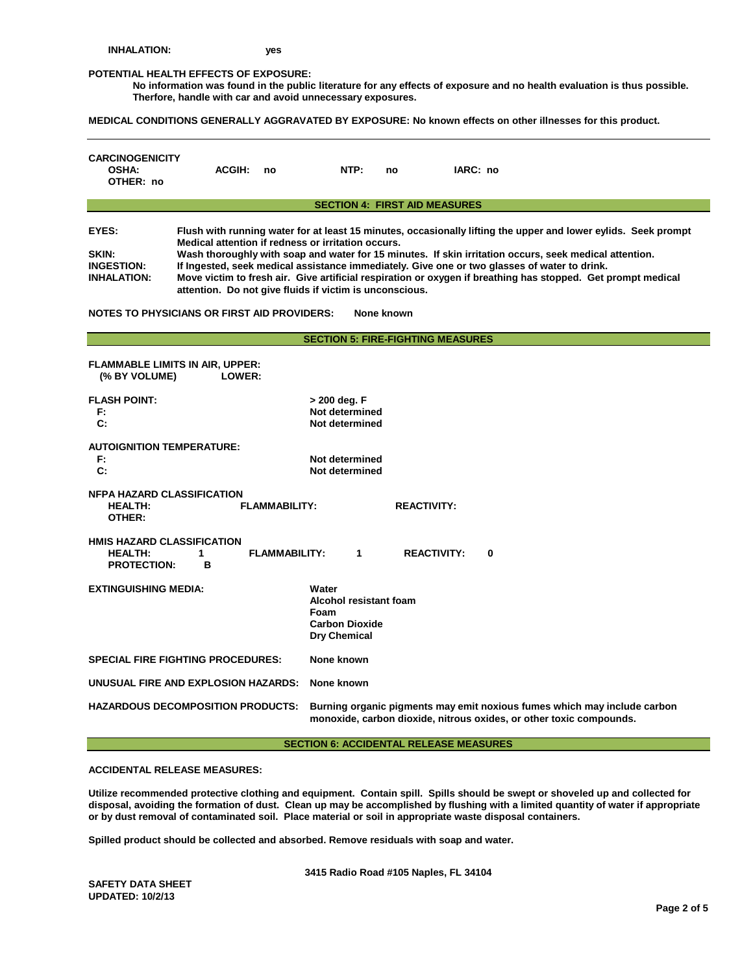#### **POTENTIAL HEALTH EFFECTS OF EXPOSURE:**

**No information was found in the public literature for any effects of exposure and no health evaluation is thus possible. Therfore, handle with car and avoid unnecessary exposures.**

**MEDICAL CONDITIONS GENERALLY AGGRAVATED BY EXPOSURE: No known effects on other illnesses for this product.**

| <b>CARCINOGENICITY</b><br><b>OSHA:</b><br>OTHER: no                                                                                                                                                                                                                                                                                                                                                                                                                                                                                                                                                                                                                                 | <b>ACGIH:</b> | no                   | NTP:                                                                                                                                            | no                                       | IARC: no           |   |
|-------------------------------------------------------------------------------------------------------------------------------------------------------------------------------------------------------------------------------------------------------------------------------------------------------------------------------------------------------------------------------------------------------------------------------------------------------------------------------------------------------------------------------------------------------------------------------------------------------------------------------------------------------------------------------------|---------------|----------------------|-------------------------------------------------------------------------------------------------------------------------------------------------|------------------------------------------|--------------------|---|
|                                                                                                                                                                                                                                                                                                                                                                                                                                                                                                                                                                                                                                                                                     |               |                      |                                                                                                                                                 | <b>SECTION 4: FIRST AID MEASURES</b>     |                    |   |
| EYES:<br>Flush with running water for at least 15 minutes, occasionally lifting the upper and lower eylids. Seek prompt<br>Medical attention if redness or irritation occurs.<br>Wash thoroughly with soap and water for 15 minutes. If skin irritation occurs, seek medical attention.<br>SKIN:<br>If Ingested, seek medical assistance immediately. Give one or two glasses of water to drink.<br><b>INGESTION:</b><br>Move victim to fresh air. Give artificial respiration or oxygen if breathing has stopped. Get prompt medical<br><b>INHALATION:</b><br>attention. Do not give fluids if victim is unconscious.<br>NOTES TO PHYSICIANS OR FIRST AID PROVIDERS:<br>None known |               |                      |                                                                                                                                                 |                                          |                    |   |
|                                                                                                                                                                                                                                                                                                                                                                                                                                                                                                                                                                                                                                                                                     |               |                      |                                                                                                                                                 | <b>SECTION 5: FIRE-FIGHTING MEASURES</b> |                    |   |
| FLAMMABLE LIMITS IN AIR, UPPER:<br>(% BY VOLUME)<br><b>FLASH POINT:</b><br>F:<br>C:                                                                                                                                                                                                                                                                                                                                                                                                                                                                                                                                                                                                 | LOWER:        |                      | > 200 deg. F<br>Not determined<br>Not determined                                                                                                |                                          |                    |   |
| AUTOIGNITION TEMPERATURE:<br>F:<br>$\mathbf{C}$ :                                                                                                                                                                                                                                                                                                                                                                                                                                                                                                                                                                                                                                   |               |                      | Not determined<br>Not determined                                                                                                                |                                          |                    |   |
| <b>NFPA HAZARD CLASSIFICATION</b><br><b>FLAMMABILITY:</b><br><b>HEALTH:</b><br>OTHER:                                                                                                                                                                                                                                                                                                                                                                                                                                                                                                                                                                                               |               |                      |                                                                                                                                                 | <b>REACTIVITY:</b>                       |                    |   |
| <b>HMIS HAZARD CLASSIFICATION</b><br><b>HEALTH:</b><br><b>PROTECTION:</b>                                                                                                                                                                                                                                                                                                                                                                                                                                                                                                                                                                                                           | 1<br>B        | <b>FLAMMABILITY:</b> | $\mathbf{1}$                                                                                                                                    |                                          | <b>REACTIVITY:</b> | 0 |
| <b>EXTINGUISHING MEDIA:</b>                                                                                                                                                                                                                                                                                                                                                                                                                                                                                                                                                                                                                                                         |               | Water<br>Foam        | Alcohol resistant foam<br><b>Carbon Dioxide</b><br>Dry Chemical                                                                                 |                                          |                    |   |
| <b>SPECIAL FIRE FIGHTING PROCEDURES:</b><br>None known                                                                                                                                                                                                                                                                                                                                                                                                                                                                                                                                                                                                                              |               |                      |                                                                                                                                                 |                                          |                    |   |
| UNUSUAL FIRE AND EXPLOSION HAZARDS:                                                                                                                                                                                                                                                                                                                                                                                                                                                                                                                                                                                                                                                 |               |                      | None known                                                                                                                                      |                                          |                    |   |
| <b>HAZARDOUS DECOMPOSITION PRODUCTS:</b>                                                                                                                                                                                                                                                                                                                                                                                                                                                                                                                                                                                                                                            |               |                      | Burning organic pigments may emit noxious fumes which may include carbon<br>monoxide, carbon dioxide, nitrous oxides, or other toxic compounds. |                                          |                    |   |

## **SECTION 6: ACCIDENTAL RELEASE MEASURES**

**ACCIDENTAL RELEASE MEASURES:**

**Utilize recommended protective clothing and equipment. Contain spill. Spills should be swept or shoveled up and collected for disposal, avoiding the formation of dust. Clean up may be accomplished by flushing with a limited quantity of water if appropriate or by dust removal of contaminated soil. Place material or soil in appropriate waste disposal containers.**

**Spilled product should be collected and absorbed. Remove residuals with soap and water.** 

**3415 Radio Road #105 Naples, FL 34104** 

**SAFETY DATA SHEET UPDATED: 10/2/13**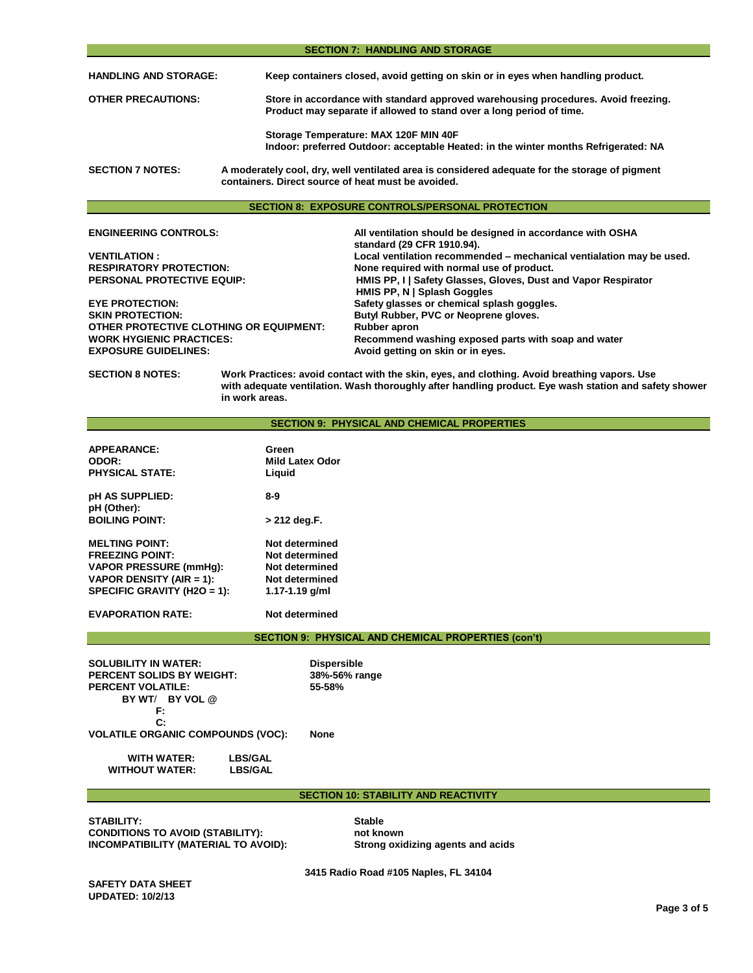| <b>SECTION 7: HANDLING AND STORAGE</b>                                                                                                                                          |                                                                                                                                                            |  |  |  |
|---------------------------------------------------------------------------------------------------------------------------------------------------------------------------------|------------------------------------------------------------------------------------------------------------------------------------------------------------|--|--|--|
| <b>HANDLING AND STORAGE:</b>                                                                                                                                                    | Keep containers closed, avoid getting on skin or in eyes when handling product.                                                                            |  |  |  |
| <b>OTHER PRECAUTIONS:</b>                                                                                                                                                       | Store in accordance with standard approved warehousing procedures. Avoid freezing.<br>Product may separate if allowed to stand over a long period of time. |  |  |  |
|                                                                                                                                                                                 | Storage Temperature: MAX 120F MIN 40F<br>Indoor: preferred Outdoor: acceptable Heated: in the winter months Refrigerated: NA                               |  |  |  |
| <b>SECTION 7 NOTES:</b><br>A moderately cool, dry, well ventilated area is considered adequate for the storage of pigment<br>containers. Direct source of heat must be avoided. |                                                                                                                                                            |  |  |  |
| <b>SECTION 8: EXPOSURE CONTROLS/PERSONAL PROTECTION</b>                                                                                                                         |                                                                                                                                                            |  |  |  |
| <b>ENGINEERING CONTROLS:</b>                                                                                                                                                    | All ventilation should be designed in accordance with OSHA<br>standard (29 CFR 1910.94).                                                                   |  |  |  |
| <b>VENTILATION:</b>                                                                                                                                                             | Local ventilation recommended - mechanical ventialation may be used.                                                                                       |  |  |  |
| <b>RESPIRATORY PROTECTION:</b>                                                                                                                                                  | None required with normal use of product.                                                                                                                  |  |  |  |
| <b>PERSONAL PROTECTIVE EQUIP:</b>                                                                                                                                               | HMIS PP, I Safety Glasses, Gloves, Dust and Vapor Respirator<br>HMIS PP, N   Splash Goggles                                                                |  |  |  |

**EYE PROTECTION: Safety glasses or chemical splash goggles. OTHER PROTECTIVE CLOTHING OR EQUIPMENT: Rubber apron WORK HYGIENIC PRACTICES: Recommend washing exposed parts with soap and water** 

**SECTION 8 NOTES: Work Practices: avoid contact with the skin, eyes, and clothing. Avoid breathing vapors. Use with adequate ventilation. Wash thoroughly after handling product. Eye wash station and safety shower in work areas.** 

Avoid getting on skin or in eyes.

Butyl Rubber, PVC or Neoprene gloves.

# **SECTION 9: PHYSICAL AND CHEMICAL PROPERTIES APPEARANCE: Green Mild Latex Odor PHYSICAL STATE: Liquid pH AS SUPPLIED: 8-9 pH (Other): BOILING POINT: > 212 deg.F. MELTING POINT: Not determined FREEZING POINT: Not determined VAPOR PRESSURE (mmHg): Not determined<br>
VAPOR DENSITY (AIR = 1): Not determined VAPOR DENSITY (AIR = 1): Not determined SPECIFIC GRAVITY (H2O = 1): 1.17-1.19 g/ml** SPECIFIC GRAVITY (H2O = 1): **EVAPORATION RATE: Not determined SECTION 9: PHYSICAL AND CHEMICAL PROPERTIES (con't)**

**SOLUBILITY IN WATER: Dispersible PERCENT SOLIDS BY WEIGHT: PERCENT VOLATILE: 55-58% BY WT**/ **BY VOL @ F: C: VOLATILE ORGANIC COMPOUNDS (VOC): None WITH WATER: LBS/GAL WITHOUT WATER:** 

#### **SECTION 10: STABILITY AND REACTIVITY**

**STABILITY: Stable CONDITIONS TO AVOID (STABILITY): not known INCOMPATIBILITY (MATERIAL TO AVOID): Strong oxidizing agents and acids**

**3415 Radio Road #105 Naples, FL 34104** 

**SAFETY DATA SHEET UPDATED: 10/2/13**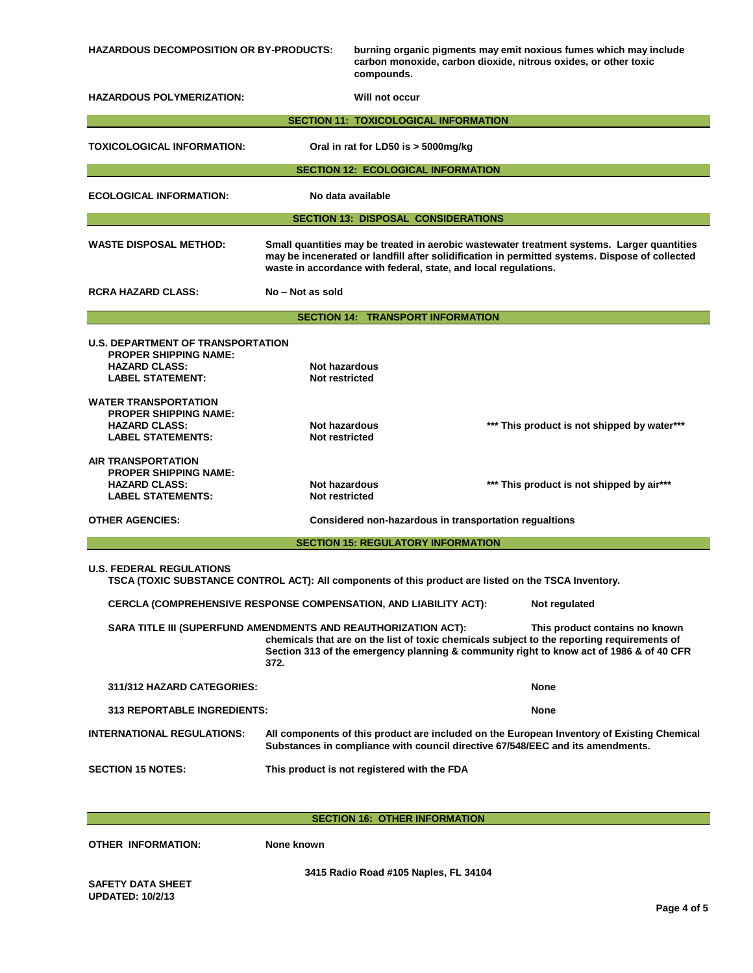| <b>HAZARDOUS DECOMPOSITION OR BY-PRODUCTS:</b>                                                                                                                                                                                                                                                    |                                                                                                                                                                              | burning organic pigments may emit noxious fumes which may include<br>carbon monoxide, carbon dioxide, nitrous oxides, or other toxic<br>compounds. |                                                                                                      |  |  |
|---------------------------------------------------------------------------------------------------------------------------------------------------------------------------------------------------------------------------------------------------------------------------------------------------|------------------------------------------------------------------------------------------------------------------------------------------------------------------------------|----------------------------------------------------------------------------------------------------------------------------------------------------|------------------------------------------------------------------------------------------------------|--|--|
| <b>HAZARDOUS POLYMERIZATION:</b><br>Will not occur                                                                                                                                                                                                                                                |                                                                                                                                                                              |                                                                                                                                                    |                                                                                                      |  |  |
|                                                                                                                                                                                                                                                                                                   |                                                                                                                                                                              | <b>SECTION 11: TOXICOLOGICAL INFORMATION</b>                                                                                                       |                                                                                                      |  |  |
| <b>TOXICOLOGICAL INFORMATION:</b>                                                                                                                                                                                                                                                                 |                                                                                                                                                                              | Oral in rat for LD50 is > 5000mg/kg                                                                                                                |                                                                                                      |  |  |
|                                                                                                                                                                                                                                                                                                   |                                                                                                                                                                              | <b>SECTION 12: ECOLOGICAL INFORMATION</b>                                                                                                          |                                                                                                      |  |  |
| No data available<br><b>ECOLOGICAL INFORMATION:</b>                                                                                                                                                                                                                                               |                                                                                                                                                                              |                                                                                                                                                    |                                                                                                      |  |  |
|                                                                                                                                                                                                                                                                                                   |                                                                                                                                                                              | <b>SECTION 13: DISPOSAL CONSIDERATIONS</b>                                                                                                         |                                                                                                      |  |  |
| <b>WASTE DISPOSAL METHOD:</b><br>Small quantities may be treated in aerobic wastewater treatment systems. Larger quantities<br>may be incenerated or landfill after solidification in permitted systems. Dispose of collected<br>waste in accordance with federal, state, and local regulations.  |                                                                                                                                                                              |                                                                                                                                                    |                                                                                                      |  |  |
| <b>RCRA HAZARD CLASS:</b>                                                                                                                                                                                                                                                                         | No - Not as sold                                                                                                                                                             |                                                                                                                                                    |                                                                                                      |  |  |
|                                                                                                                                                                                                                                                                                                   |                                                                                                                                                                              | <b>SECTION 14: TRANSPORT INFORMATION</b>                                                                                                           |                                                                                                      |  |  |
| <b>U.S. DEPARTMENT OF TRANSPORTATION</b><br><b>PROPER SHIPPING NAME:</b><br><b>HAZARD CLASS:</b><br><b>LABEL STATEMENT:</b>                                                                                                                                                                       | Not hazardous<br>Not restricted                                                                                                                                              |                                                                                                                                                    |                                                                                                      |  |  |
| <b>WATER TRANSPORTATION</b><br><b>PROPER SHIPPING NAME:</b><br><b>HAZARD CLASS:</b><br><b>LABEL STATEMENTS:</b>                                                                                                                                                                                   | Not hazardous<br>Not restricted                                                                                                                                              |                                                                                                                                                    | *** This product is not shipped by water***                                                          |  |  |
| <b>AIR TRANSPORTATION</b><br><b>PROPER SHIPPING NAME:</b><br><b>HAZARD CLASS:</b><br><b>LABEL STATEMENTS:</b>                                                                                                                                                                                     | Not hazardous<br>Not restricted                                                                                                                                              |                                                                                                                                                    | *** This product is not shipped by air***                                                            |  |  |
| <b>OTHER AGENCIES:</b><br>Considered non-hazardous in transportation regualtions                                                                                                                                                                                                                  |                                                                                                                                                                              |                                                                                                                                                    |                                                                                                      |  |  |
| <b>SECTION 15: REGULATORY INFORMATION</b>                                                                                                                                                                                                                                                         |                                                                                                                                                                              |                                                                                                                                                    |                                                                                                      |  |  |
| <b>U.S. FEDERAL REGULATIONS</b>                                                                                                                                                                                                                                                                   |                                                                                                                                                                              |                                                                                                                                                    | TSCA (TOXIC SUBSTANCE CONTROL ACT): All components of this product are listed on the TSCA Inventory. |  |  |
| CERCLA (COMPREHENSIVE RESPONSE COMPENSATION, AND LIABILITY ACT):                                                                                                                                                                                                                                  |                                                                                                                                                                              |                                                                                                                                                    | Not regulated                                                                                        |  |  |
| SARA TITLE III (SUPERFUND AMENDMENTS AND REAUTHORIZATION ACT):<br>This product contains no known<br>chemicals that are on the list of toxic chemicals subject to the reporting requirements of<br>Section 313 of the emergency planning & community right to know act of 1986 & of 40 CFR<br>372. |                                                                                                                                                                              |                                                                                                                                                    |                                                                                                      |  |  |
| <b>311/312 HAZARD CATEGORIES:</b><br>None                                                                                                                                                                                                                                                         |                                                                                                                                                                              |                                                                                                                                                    |                                                                                                      |  |  |
| <b>313 REPORTABLE INGREDIENTS:</b><br>None                                                                                                                                                                                                                                                        |                                                                                                                                                                              |                                                                                                                                                    |                                                                                                      |  |  |
| <b>INTERNATIONAL REGULATIONS:</b>                                                                                                                                                                                                                                                                 | All components of this product are included on the European Inventory of Existing Chemical<br>Substances in compliance with council directive 67/548/EEC and its amendments. |                                                                                                                                                    |                                                                                                      |  |  |
| <b>SECTION 15 NOTES:</b><br>This product is not registered with the FDA                                                                                                                                                                                                                           |                                                                                                                                                                              |                                                                                                                                                    |                                                                                                      |  |  |

**SECTION 16: OTHER INFORMATION**

**OTHER INFORMATION: None known**

**3415 Radio Road #105 Naples, FL 34104**